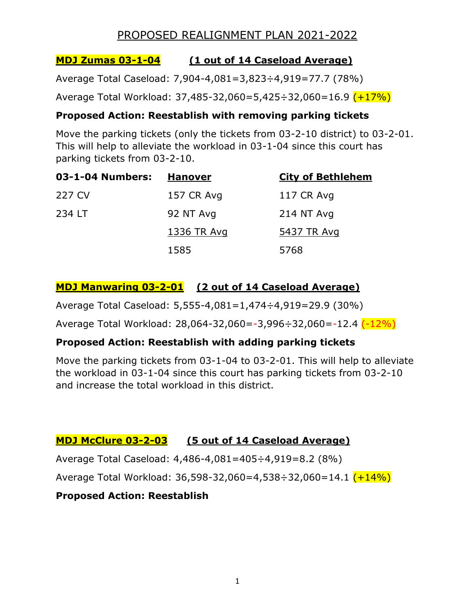## **MDJ Zumas 03-1-04 (1 out of 14 Caseload Average)**

Average Total Caseload: 7,904-4,081=3,823÷4,919=77.7 (78%)

Average Total Workload: 37,485-32,060=5,425÷32,060=16.9 (+17%)

### **Proposed Action: Reestablish with removing parking tickets**

Move the parking tickets (only the tickets from 03-2-10 district) to 03-2-01. This will help to alleviate the workload in 03-1-04 since this court has parking tickets from 03-2-10.

| 03-1-04 Numbers: | <u>Hanover</u> | <b>City of Bethlehem</b> |
|------------------|----------------|--------------------------|
| 227 CV           | 157 CR Avg     | 117 CR Avg               |
| 234 LT           | 92 NT Avg      | 214 NT Avg               |
|                  | 1336 TR Avg    | 5437 TR Avg              |
|                  | 1585           | 5768                     |

## **MDJ Manwaring 03-2-01 (2 out of 14 Caseload Average)**

Average Total Caseload: 5,555-4,081=1,474÷4,919=29.9 (30%)

Average Total Workload: 28,064-32,060=-3,996÷32,060=-12.4 (-12%)

## **Proposed Action: Reestablish with adding parking tickets**

Move the parking tickets from 03-1-04 to 03-2-01. This will help to alleviate the workload in 03-1-04 since this court has parking tickets from 03-2-10 and increase the total workload in this district.

## **MDJ McClure 03-2-03 (5 out of 14 Caseload Average)**

Average Total Caseload: 4,486-4,081=405÷4,919=8.2 (8%)

Average Total Workload: 36,598-32,060=4,538÷32,060=14.1 (+14%)

## **Proposed Action: Reestablish**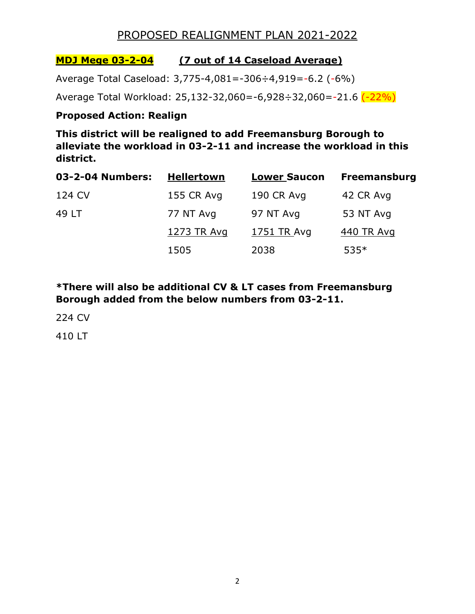### **MDJ Mege 03-2-04 (7 out of 14 Caseload Average)**

Average Total Caseload: 3,775-4,081=-306÷4,919=-6.2 (-6%)

Average Total Workload: 25,132-32,060=-6,928÷32,060=-21.6 (-22%)

#### **Proposed Action: Realign**

**This district will be realigned to add Freemansburg Borough to alleviate the workload in 03-2-11 and increase the workload in this district.**

| 03-2-04 Numbers: | <b>Hellertown</b> | <b>Lower Saucon</b> | <b>Freemansburg</b> |
|------------------|-------------------|---------------------|---------------------|
| 124 CV           | 155 CR Avg        | 190 CR Avg          | 42 CR Avg           |
| 49 LT            | 77 NT Avg         | 97 NT Avg           | 53 NT Avg           |
|                  | 1273 TR Avg       | 17 <u>51 TR Avg</u> | 440 TR Avg          |
|                  | 1505              | 2038                | $535*$              |

**\*There will also be additional CV & LT cases from Freemansburg Borough added from the below numbers from 03-2-11.**

224 CV

410 LT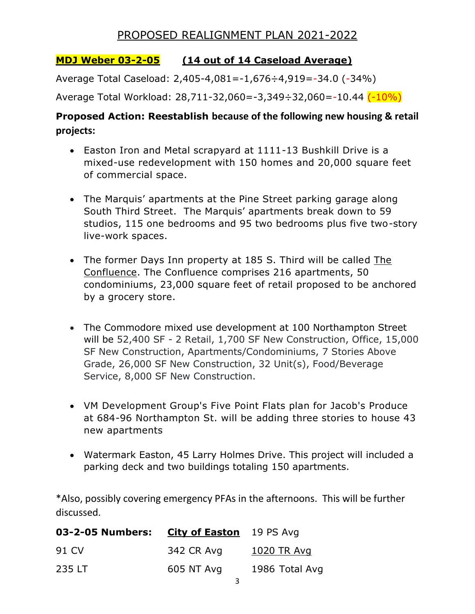### **MDJ Weber 03-2-05 (14 out of 14 Caseload Average)**

Average Total Caseload: 2,405-4,081=-1,676÷4,919=-34.0 (-34%)

Average Total Workload: 28,711-32,060=-3,349÷32,060=-10.44 (-10%)

## **Proposed Action: Reestablish because of the following new housing & retail projects:**

- Easton Iron and Metal scrapyard at 1111-13 Bushkill Drive is a mixed-use redevelopment with 150 homes and 20,000 square feet of commercial space.
- The Marquis' apartments at the Pine Street parking garage along South Third Street. The Marquis' apartments break down to 59 studios, 115 one bedrooms and 95 two bedrooms plus five two-story live-work spaces.
- The former Days Inn property at 185 S. Third will be called [The](https://www.lehighvalleylive.com/topic/the%20confluence/) [Confluence.](https://www.lehighvalleylive.com/topic/the%20confluence/) The Confluence comprises 216 apartments, 50 condominiums, 23,000 square feet of retail proposed to be anchored by a grocery store.
- The Commodore mixed use development at 100 Northampton Street will be 52,400 SF - 2 Retail, 1,700 SF New Construction, Office, 15,000 SF New Construction, Apartments/Condominiums, 7 Stories Above Grade, 26,000 SF New Construction, 32 Unit(s), Food/Beverage Service, 8,000 SF New Construction.
- VM Development Group's Five Point Flats plan for Jacob's Produce at 684-96 Northampton St. will be adding three stories to house 43 new apartments
- Watermark Easton, 45 Larry Holmes Drive. This project will included a parking deck and two buildings totaling 150 apartments.

\*Also, possibly covering emergency PFAs in the afternoons. This will be further discussed.

| 03-2-05 Numbers: City of Easton 19 PS Avg |            |                |
|-------------------------------------------|------------|----------------|
| 91 CV                                     | 342 CR Avg | 1020 TR Avg    |
| 235 LT                                    | 605 NT Avg | 1986 Total Avg |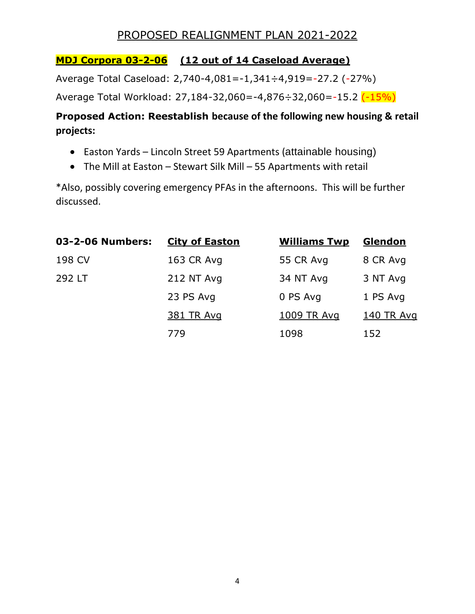## **MDJ Corpora 03-2-06 (12 out of 14 Caseload Average)**

Average Total Caseload: 2,740-4,081=-1,341÷4,919=-27.2 (-27%)

Average Total Workload: 27,184-32,060=-4,876÷32,060=-15.2 (-15%)

# **Proposed Action: Reestablish because of the following new housing & retail projects:**

- Easton Yards Lincoln Street 59 Apartments (attainable housing)
- The Mill at Easton Stewart Silk Mill 55 Apartments with retail

\*Also, possibly covering emergency PFAs in the afternoons. This will be further discussed.

| 03-2-06 Numbers: | <b>City of Easton</b> | <b>Williams Twp</b> | Glendon    |
|------------------|-----------------------|---------------------|------------|
| 198 CV           | 163 CR Avg            | 55 CR Avg           | 8 CR Avg   |
| 292 LT           | 212 NT Avg            | 34 NT Avg           | 3 NT Avg   |
|                  | 23 PS Avg             | 0 PS Avg            | 1 PS Avg   |
|                  | 381 TR Avg            | 1009 TR Avg         | 140 TR Avg |
|                  | 779                   | 1098                | 152        |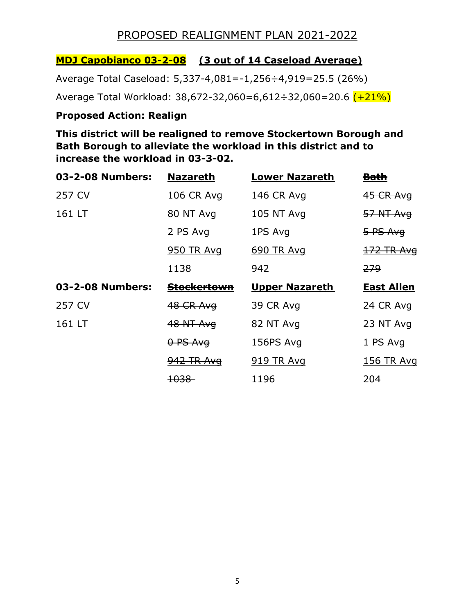### **MDJ Capobianco 03-2-08 (3 out of 14 Caseload Average)**

Average Total Caseload: 5,337-4,081=-1,256÷4,919=25.5 (26%)

Average Total Workload: 38,672-32,060=6,612÷32,060=20.6 (+21%)

#### **Proposed Action: Realign**

**This district will be realigned to remove Stockertown Borough and Bath Borough to alleviate the workload in this district and to increase the workload in 03-3-02.** 

| 03-2-08 Numbers: | <b>Nazareth</b>        | <b>Lower Nazareth</b> | <u>Bath</u>       |
|------------------|------------------------|-----------------------|-------------------|
| 257 CV           | <b>106 CR Avg</b>      | 146 CR Avg            | $45$ CR Avg       |
| 161 LT           | 80 NT Avg              | 105 NT Avg            | 57 NT Avg         |
|                  | 2 PS Avg               | 1PS Avg               | 5 PS Avg          |
|                  | <b>950 TR Avg</b>      | 690 TR Avg            | 172 TR Avg        |
|                  | 1138                   | 942                   | <del>279</del>    |
|                  |                        |                       |                   |
| 03-2-08 Numbers: | <del>Stockertown</del> | <b>Upper Nazareth</b> | <b>East Allen</b> |
| 257 CV           | 48 CR Avg              | 39 CR Avg             | 24 CR Avg         |
| 161 LT           | <b>48 NT Avg</b>       | 82 NT Avg             | 23 NT Avg         |
|                  | 0 PS Avg               | 156PS Avg             | 1 PS Avg          |
|                  | 942 TR Avg             | <b>919 TR Avg</b>     | <u>156 TR Avg</u> |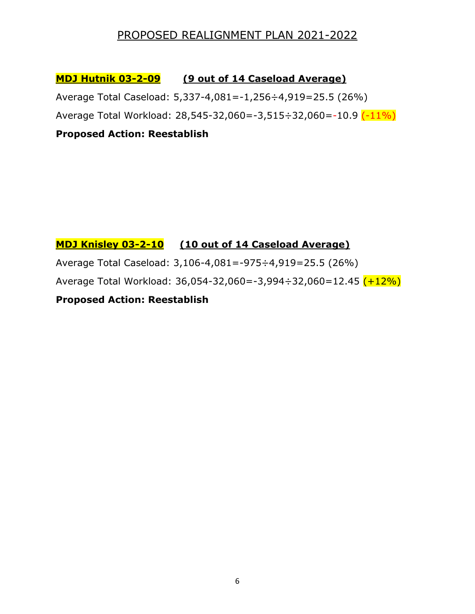**MDJ Hutnik 03-2-09 (9 out of 14 Caseload Average)**

Average Total Caseload: 5,337-4,081=-1,256÷4,919=25.5 (26%)

Average Total Workload: 28,545-32,060=-3,515÷32,060=-10.9 (-11%)

**Proposed Action: Reestablish**

## **MDJ Knisley 03-2-10 (10 out of 14 Caseload Average)**

Average Total Caseload: 3,106-4,081=-975÷4,919=25.5 (26%)

Average Total Workload: 36,054-32,060=-3,994÷32,060=12.45 (+12%)

**Proposed Action: Reestablish**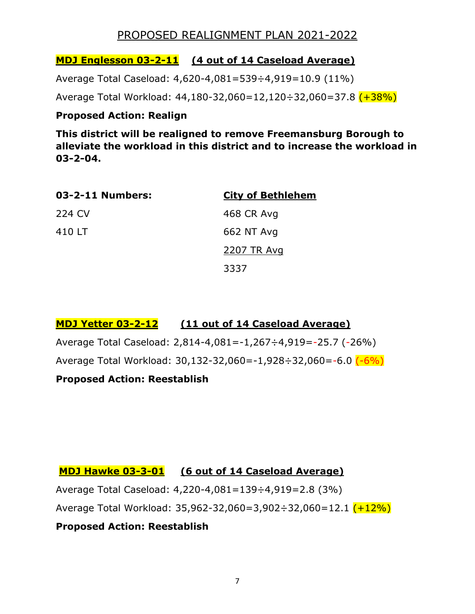## **MDJ Englesson 03-2-11 (4 out of 14 Caseload Average)**

Average Total Caseload: 4,620-4,081=539÷4,919=10.9 (11%)

Average Total Workload: 44,180-32,060=12,120÷32,060=37.8 (+38%)

### **Proposed Action: Realign**

**This district will be realigned to remove Freemansburg Borough to alleviate the workload in this district and to increase the workload in 03-2-04.**

| 03-2-11 Numbers: | <b>City of Bethlehem</b> |
|------------------|--------------------------|
| 224 CV           | 468 CR Avg               |
| 410 LT           | 662 NT Avg               |
|                  | 2207 TR Avg              |
|                  | 3337                     |

## **MDJ Yetter 03-2-12 (11 out of 14 Caseload Average)**

Average Total Caseload: 2,814-4,081=-1,267÷4,919=-25.7 (-26%)

Average Total Workload: 30,132-32,060=-1,928÷32,060=-6.0 (-6%)

## **Proposed Action: Reestablish**

## **MDJ Hawke 03-3-01 (6 out of 14 Caseload Average)**

Average Total Caseload: 4,220-4,081=139÷4,919=2.8 (3%)

Average Total Workload: 35,962-32,060=3,902÷32,060=12.1 (+12%)

## **Proposed Action: Reestablish**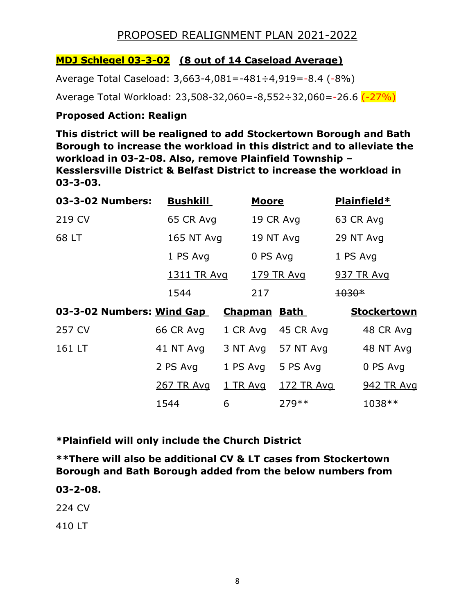## **MDJ Schlegel 03-3-02 (8 out of 14 Caseload Average)**

Average Total Caseload: 3,663-4,081=-481÷4,919=-8.4 (-8%)

Average Total Workload: 23,508-32,060=-8,552÷32,060=-26.6 (-27%)

#### **Proposed Action: Realign**

**This district will be realigned to add Stockertown Borough and Bath Borough to increase the workload in this district and to alleviate the workload in 03-2-08. Also, remove Plainfield Township – Kesslersville District & Belfast District to increase the workload in 03-3-03.**

| 03-3-02 Numbers:                                    | <b>Bushkill</b> | <b>Moore</b> | Plainfield*        |
|-----------------------------------------------------|-----------------|--------------|--------------------|
| 219 CV                                              | 65 CR Avg       | 19 CR Avg    | 63 CR Avg          |
| 68 LT                                               | 165 NT Avg      | 19 NT Avg    | 29 NT Avg          |
|                                                     | 1 PS Avg        | 0 PS Avg     | 1 PS Avg           |
|                                                     | 1311 TR Avg     | 179 TR Avg   | 937 TR Avg         |
|                                                     | 1544            | 217          | $1030*$            |
| 03-3-02 Numbers: Wind Gap<br>Chapman<br><b>Bath</b> |                 |              | <b>Stockertown</b> |

| 257 CV | 66 CR Avg  |                   | 1 CR Avg 45 CR Avg | 48 CR Avg  |
|--------|------------|-------------------|--------------------|------------|
| 161 LT | 41 NT Avg  |                   | 3 NT Avg 57 NT Avg | 48 NT Avg  |
|        | 2 PS Avg   | 1 PS Avg 5 PS Avg |                    | 0 PS Avg   |
|        | 267 TR Avg | 1 TR Avg          | 172 TR Avg         | 942 TR Avg |
|        | 1544       | 6                 | $279**$            | 1038 **    |

**\*Plainfield will only include the Church District**

**\*\*There will also be additional CV & LT cases from Stockertown Borough and Bath Borough added from the below numbers from** 

#### **03-2-08.**

224 CV

410 LT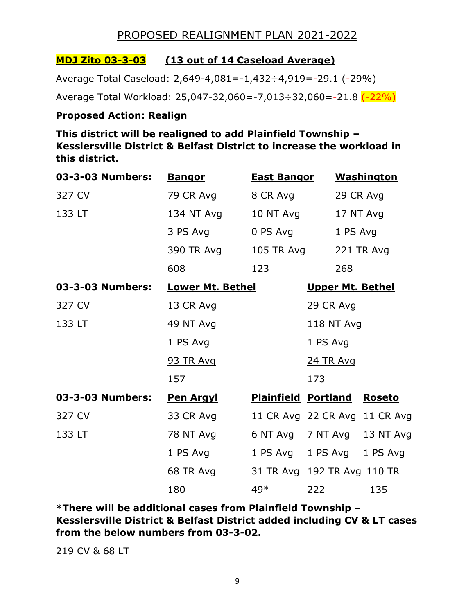### **MDJ Zito 03-3-03 (13 out of 14 Caseload Average)**

Average Total Caseload: 2,649-4,081=-1,432÷4,919=-29.1 (-29%)

Average Total Workload: 25,047-32,060=-7,013÷32,060=-21.8 (-22%)

#### **Proposed Action: Realign**

**This district will be realigned to add Plainfield Township – Kesslersville District & Belfast District to increase the workload in this district.** 

| 03-3-03 Numbers: | <u>Bangor</u>           | <b>East Bangor</b> |                               | <b>Washington</b> |
|------------------|-------------------------|--------------------|-------------------------------|-------------------|
| 327 CV           | 79 CR Avg               | 8 CR Avg           |                               | 29 CR Avg         |
| 133 LT           | 134 NT Avg              | 10 NT Avg          |                               | 17 NT Avg         |
|                  | 3 PS Avg                | 0 PS Avg           | 1 PS Avg                      |                   |
|                  | <u>390 TR Avg</u>       | <u>105 TR Avg</u>  |                               | 221 TR Avg        |
|                  | 608                     | 123                | 268                           |                   |
| 03-3-03 Numbers: | <b>Lower Mt. Bethel</b> |                    | <b>Upper Mt. Bethel</b>       |                   |
| 327 CV           | 13 CR Avg               |                    | 29 CR Avg                     |                   |
| 133 LT           | 49 NT Avg               |                    | 118 NT Avg                    |                   |
|                  | 1 PS Avg                |                    | 1 PS Avg                      |                   |
|                  | <b>93 TR Avg</b>        |                    | <b>24 TR Avg</b>              |                   |
|                  | 157                     |                    | 173                           |                   |
| 03-3-03 Numbers: | <u>Pen Argyl</u>        |                    | <b>Plainfield Portland</b>    | <b>Roseto</b>     |
| 327 CV           | 33 CR Avg               |                    | 11 CR Avg 22 CR Avg 11 CR Avg |                   |
| 133 LT           | 78 NT Avg               |                    | 6 NT Avg 7 NT Avg 13 NT Avg   |                   |
|                  | 1 PS Avg                |                    | 1 PS Avg 1 PS Avg 1 PS Avg    |                   |
|                  | <u>68 TR Avg</u>        |                    | 31 TR Avg 192 TR Avg 110 TR   |                   |
|                  | 180                     | 49*                | 222                           | 135               |

**\*There will be additional cases from Plainfield Township – Kesslersville District & Belfast District added including CV & LT cases from the below numbers from 03-3-02.**

219 CV & 68 LT